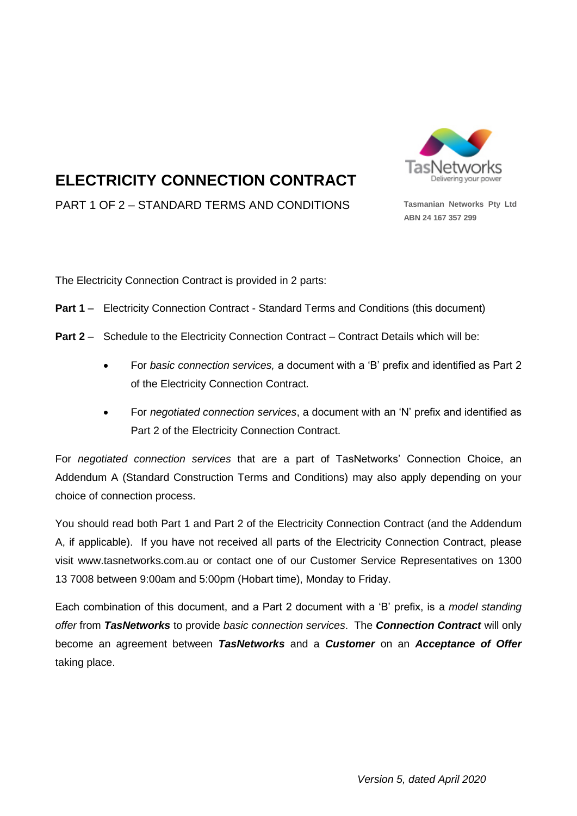

# **ELECTRICITY CONNECTION CONTRACT**

PART 1 OF 2 – STANDARD TERMS AND CONDITIONS **Tasmanian Networks Pty Ltd**

**ABN 24 167 357 299**

The Electricity Connection Contract is provided in 2 parts:

- **Part 1** Electricity Connection Contract Standard Terms and Conditions (this document)
- **Part 2** Schedule to the Electricity Connection Contract Contract Details which will be:
	- For *basic connection services,* a document with a 'B' prefix and identified as Part 2 of the Electricity Connection Contract*.*
	- For *negotiated connection services*, a document with an 'N' prefix and identified as Part 2 of the Electricity Connection Contract.

For *negotiated connection services* that are a part of TasNetworks' Connection Choice, an Addendum A (Standard Construction Terms and Conditions) may also apply depending on your choice of connection process.

You should read both Part 1 and Part 2 of the Electricity Connection Contract (and the Addendum A, if applicable). If you have not received all parts of the Electricity Connection Contract, please visit www.tasnetworks.com.au or contact one of our Customer Service Representatives on 1300 13 7008 between 9:00am and 5:00pm (Hobart time), Monday to Friday.

Each combination of this document, and a Part 2 document with a 'B' prefix, is a *model standing offer* from *TasNetworks* to provide *basic connection services*. The *Connection Contract* will only become an agreement between *TasNetworks* and a *Customer* on an *Acceptance of Offer* taking place.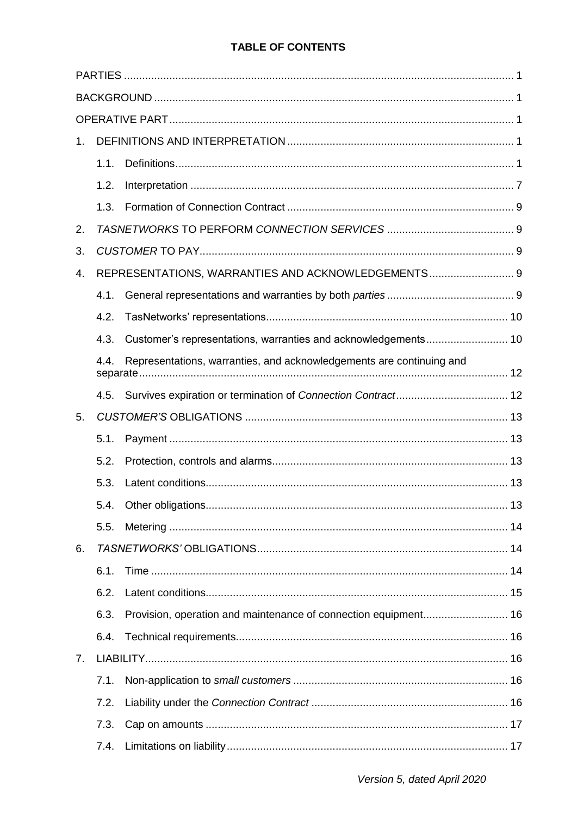# **TABLE OF CONTENTS**

| 1. |      |                                                                      |  |
|----|------|----------------------------------------------------------------------|--|
|    | 1.1. |                                                                      |  |
|    | 1.2. |                                                                      |  |
|    | 1.3. |                                                                      |  |
| 2. |      |                                                                      |  |
| 3. |      |                                                                      |  |
| 4. |      | REPRESENTATIONS, WARRANTIES AND ACKNOWLEDGEMENTS 9                   |  |
|    | 4.1. |                                                                      |  |
|    | 4.2. |                                                                      |  |
|    | 4.3. |                                                                      |  |
|    | 4.4. | Representations, warranties, and acknowledgements are continuing and |  |
|    |      |                                                                      |  |
| 5. |      |                                                                      |  |
|    | 5.1. |                                                                      |  |
|    | 5.2. |                                                                      |  |
|    | 5.3. |                                                                      |  |
|    |      |                                                                      |  |
|    | 5.5. |                                                                      |  |
| 6. |      |                                                                      |  |
|    | 6.1. |                                                                      |  |
|    | 6.2. |                                                                      |  |
|    | 6.3. |                                                                      |  |
|    | 6.4. |                                                                      |  |
| 7. |      |                                                                      |  |
|    | 7.1. |                                                                      |  |
|    | 7.2. |                                                                      |  |
|    | 7.3. |                                                                      |  |
|    | 7.4. |                                                                      |  |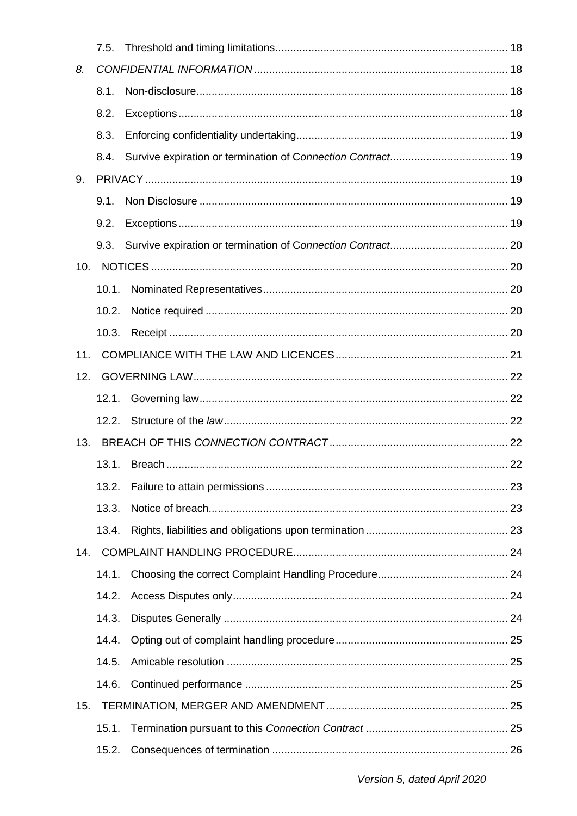|     | 7.5.  |  |
|-----|-------|--|
| 8.  |       |  |
|     | 8.1.  |  |
|     | 8.2.  |  |
|     | 8.3.  |  |
|     | 8.4.  |  |
| 9.  |       |  |
|     | 9.1.  |  |
|     | 9.2.  |  |
|     | 9.3.  |  |
| 10. |       |  |
|     | 10.1. |  |
|     | 10.2. |  |
|     | 10.3. |  |
| 11. |       |  |
| 12. |       |  |
|     | 12.1. |  |
|     | 12.2. |  |
|     |       |  |
|     | 13.1. |  |
|     | 13.2. |  |
|     | 13.3. |  |
|     | 13.4. |  |
| 14. |       |  |
|     | 14.1. |  |
|     | 14.2. |  |
|     | 14.3. |  |
|     | 14.4. |  |
|     | 14.5. |  |
|     | 14.6. |  |
| 15. |       |  |
|     | 15.1. |  |
|     | 15.2. |  |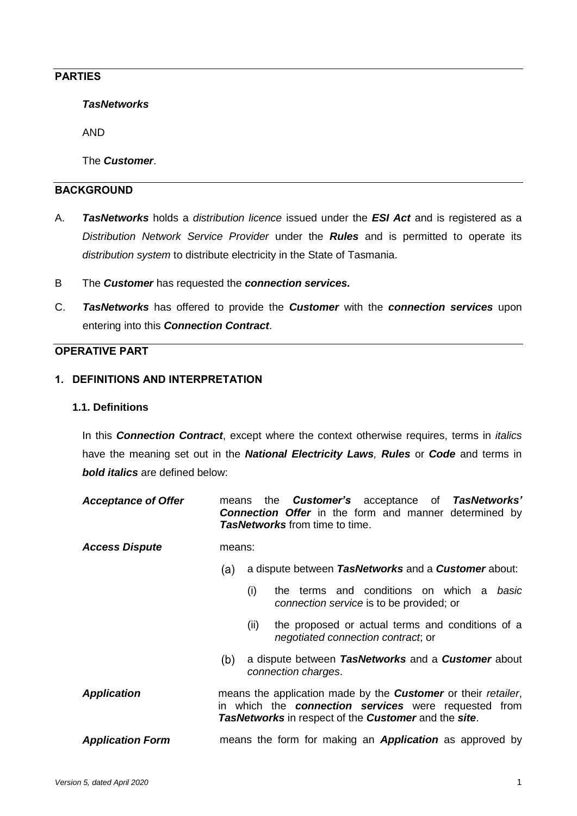# **PARTIES**

*TasNetworks*

AND

The *Customer*.

# **BACKGROUND**

- A. *TasNetworks* holds a *distribution licence* issued under the *ESI Act* and is registered as a *Distribution Network Service Provider* under the *Rules* and is permitted to operate its *distribution system* to distribute electricity in the State of Tasmania.
- B The *Customer* has requested the *connection services.*
- C. *TasNetworks* has offered to provide the *Customer* with the *connection services* upon entering into this *Connection Contract*.

## **OPERATIVE PART**

## **1. DEFINITIONS AND INTERPRETATION**

#### **1.1. Definitions**

In this *Connection Contract*, except where the context otherwise requires, terms in *italics* have the meaning set out in the *National Electricity Laws, Rules* or *Code* and terms in *bold italics* are defined below:

| <b>Acceptance of Offer</b> |        |      | means the <b>Customer's</b> acceptance of <b>TasNetworks'</b><br><b>Connection Offer</b> in the form and manner determined by<br><i>TasNetworks</i> from time to time.                      |
|----------------------------|--------|------|---------------------------------------------------------------------------------------------------------------------------------------------------------------------------------------------|
| <b>Access Dispute</b>      | means: |      |                                                                                                                                                                                             |
|                            | (a)    |      | a dispute between TasNetworks and a Customer about:                                                                                                                                         |
|                            |        | (i)  | the terms and conditions on which a basic<br>connection service is to be provided; or                                                                                                       |
|                            |        | (ii) | the proposed or actual terms and conditions of a<br><i>negotiated connection contract</i> ; or                                                                                              |
|                            | (b)    |      | a dispute between TasNetworks and a Customer about<br>connection charges.                                                                                                                   |
| <b>Application</b>         |        |      | means the application made by the <b>Customer</b> or their retailer,<br>in which the <b>connection services</b> were requested from<br>TasNetworks in respect of the Customer and the site. |
| <b>Application Form</b>    |        |      | means the form for making an <b>Application</b> as approved by                                                                                                                              |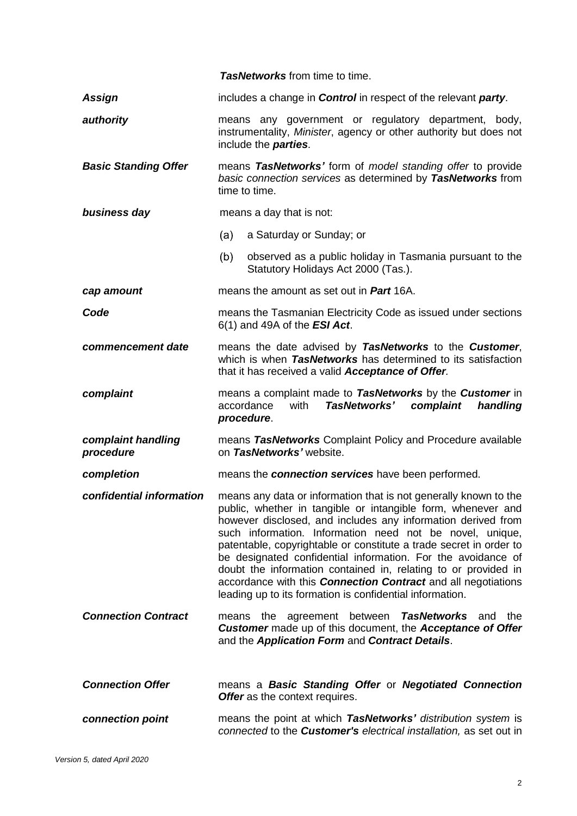|                                 | <b>TasNetworks</b> from time to time.                                                                                                                                                                                                                                                                                                                                                                                                                                                                                                                                                                    |  |  |  |
|---------------------------------|----------------------------------------------------------------------------------------------------------------------------------------------------------------------------------------------------------------------------------------------------------------------------------------------------------------------------------------------------------------------------------------------------------------------------------------------------------------------------------------------------------------------------------------------------------------------------------------------------------|--|--|--|
| Assign                          | includes a change in <b>Control</b> in respect of the relevant <b>party</b> .                                                                                                                                                                                                                                                                                                                                                                                                                                                                                                                            |  |  |  |
| authority                       | means any government or regulatory department, body,<br>instrumentality, Minister, agency or other authority but does not<br>include the <b>parties</b> .                                                                                                                                                                                                                                                                                                                                                                                                                                                |  |  |  |
| <b>Basic Standing Offer</b>     | means TasNetworks' form of model standing offer to provide<br>basic connection services as determined by TasNetworks from<br>time to time.                                                                                                                                                                                                                                                                                                                                                                                                                                                               |  |  |  |
| business day                    | means a day that is not:                                                                                                                                                                                                                                                                                                                                                                                                                                                                                                                                                                                 |  |  |  |
|                                 | a Saturday or Sunday; or<br>(a)                                                                                                                                                                                                                                                                                                                                                                                                                                                                                                                                                                          |  |  |  |
|                                 | (b)<br>observed as a public holiday in Tasmania pursuant to the<br>Statutory Holidays Act 2000 (Tas.).                                                                                                                                                                                                                                                                                                                                                                                                                                                                                                   |  |  |  |
| cap amount                      | means the amount as set out in <b>Part</b> 16A.                                                                                                                                                                                                                                                                                                                                                                                                                                                                                                                                                          |  |  |  |
| Code                            | means the Tasmanian Electricity Code as issued under sections<br>$6(1)$ and 49A of the <b>ESI Act</b> .                                                                                                                                                                                                                                                                                                                                                                                                                                                                                                  |  |  |  |
| commencement date               | means the date advised by TasNetworks to the Customer,<br>which is when TasNetworks has determined to its satisfaction<br>that it has received a valid Acceptance of Offer.                                                                                                                                                                                                                                                                                                                                                                                                                              |  |  |  |
| complaint                       | means a complaint made to TasNetworks by the Customer in<br>TasNetworks'<br>accordance<br>with<br>complaint<br>handling                                                                                                                                                                                                                                                                                                                                                                                                                                                                                  |  |  |  |
|                                 | procedure.                                                                                                                                                                                                                                                                                                                                                                                                                                                                                                                                                                                               |  |  |  |
| complaint handling<br>procedure | means TasNetworks Complaint Policy and Procedure available<br>on TasNetworks' website.                                                                                                                                                                                                                                                                                                                                                                                                                                                                                                                   |  |  |  |
| completion                      | means the connection services have been performed.                                                                                                                                                                                                                                                                                                                                                                                                                                                                                                                                                       |  |  |  |
| confidential information        | means any data or information that is not generally known to the<br>public, whether in tangible or intangible form, whenever and<br>however disclosed, and includes any information derived from<br>such information. Information need not be novel, unique,<br>patentable, copyrightable or constitute a trade secret in order to<br>be designated confidential information. For the avoidance of<br>doubt the information contained in, relating to or provided in<br>accordance with this <b>Connection Contract</b> and all negotiations<br>leading up to its formation is confidential information. |  |  |  |
| <b>Connection Contract</b>      | <b>TasNetworks</b> and<br>the<br>means the agreement between<br><b>Customer</b> made up of this document, the <b>Acceptance of Offer</b><br>and the Application Form and Contract Details.                                                                                                                                                                                                                                                                                                                                                                                                               |  |  |  |
| <b>Connection Offer</b>         | means a Basic Standing Offer or Negotiated Connection<br><b>Offer</b> as the context requires.                                                                                                                                                                                                                                                                                                                                                                                                                                                                                                           |  |  |  |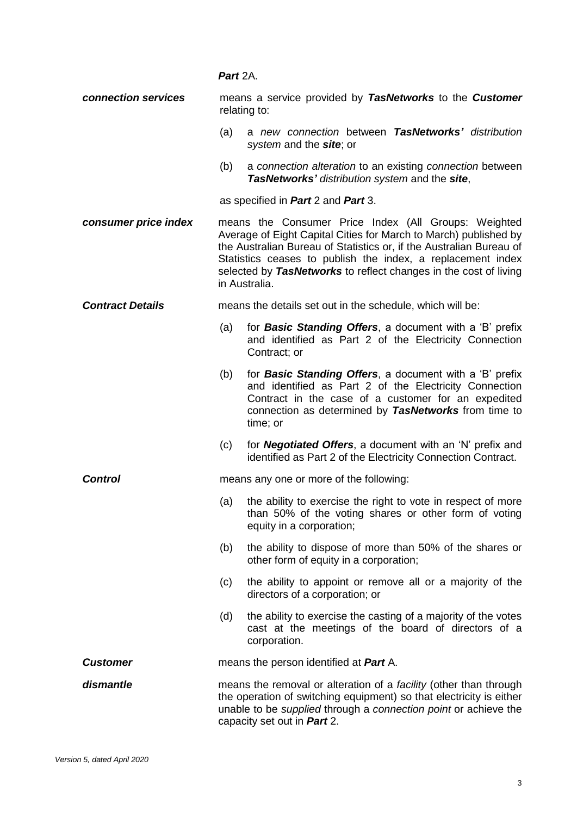## *Part* 2A.

| connection services     |     | means a service provided by TasNetworks to the Customer                                                                                                                                                                                                                                                                                             |
|-------------------------|-----|-----------------------------------------------------------------------------------------------------------------------------------------------------------------------------------------------------------------------------------------------------------------------------------------------------------------------------------------------------|
|                         |     | relating to:                                                                                                                                                                                                                                                                                                                                        |
|                         | (a) | a new connection between TasNetworks' distribution<br>system and the site; or                                                                                                                                                                                                                                                                       |
|                         | (b) | a connection alteration to an existing connection between<br>TasNetworks' distribution system and the site,                                                                                                                                                                                                                                         |
|                         |     | as specified in Part 2 and Part 3.                                                                                                                                                                                                                                                                                                                  |
| consumer price index    |     | means the Consumer Price Index (All Groups: Weighted<br>Average of Eight Capital Cities for March to March) published by<br>the Australian Bureau of Statistics or, if the Australian Bureau of<br>Statistics ceases to publish the index, a replacement index<br>selected by TasNetworks to reflect changes in the cost of living<br>in Australia. |
| <b>Contract Details</b> |     | means the details set out in the schedule, which will be:                                                                                                                                                                                                                                                                                           |
|                         | (a) | for <b>Basic Standing Offers</b> , a document with a 'B' prefix<br>and identified as Part 2 of the Electricity Connection<br>Contract; or                                                                                                                                                                                                           |
|                         | (b) | for <b>Basic Standing Offers</b> , a document with a 'B' prefix<br>and identified as Part 2 of the Electricity Connection<br>Contract in the case of a customer for an expedited<br>connection as determined by TasNetworks from time to<br>time; or                                                                                                |
|                         | (c) | for <b>Negotiated Offers</b> , a document with an 'N' prefix and<br>identified as Part 2 of the Electricity Connection Contract.                                                                                                                                                                                                                    |
| <b>Control</b>          |     | means any one or more of the following:                                                                                                                                                                                                                                                                                                             |
|                         | (a) | the ability to exercise the right to vote in respect of more<br>than 50% of the voting shares or other form of voting<br>equity in a corporation;                                                                                                                                                                                                   |
|                         | (b) | the ability to dispose of more than 50% of the shares or<br>other form of equity in a corporation;                                                                                                                                                                                                                                                  |
|                         | (c) | the ability to appoint or remove all or a majority of the<br>directors of a corporation; or                                                                                                                                                                                                                                                         |
|                         | (d) | the ability to exercise the casting of a majority of the votes<br>cast at the meetings of the board of directors of a<br>corporation.                                                                                                                                                                                                               |
| <b>Customer</b>         |     | means the person identified at Part A.                                                                                                                                                                                                                                                                                                              |
| dismantle               |     | means the removal or alteration of a <i>facility</i> (other than through<br>the operation of switching equipment) so that electricity is either<br>unable to be supplied through a connection point or achieve the<br>capacity set out in Part 2.                                                                                                   |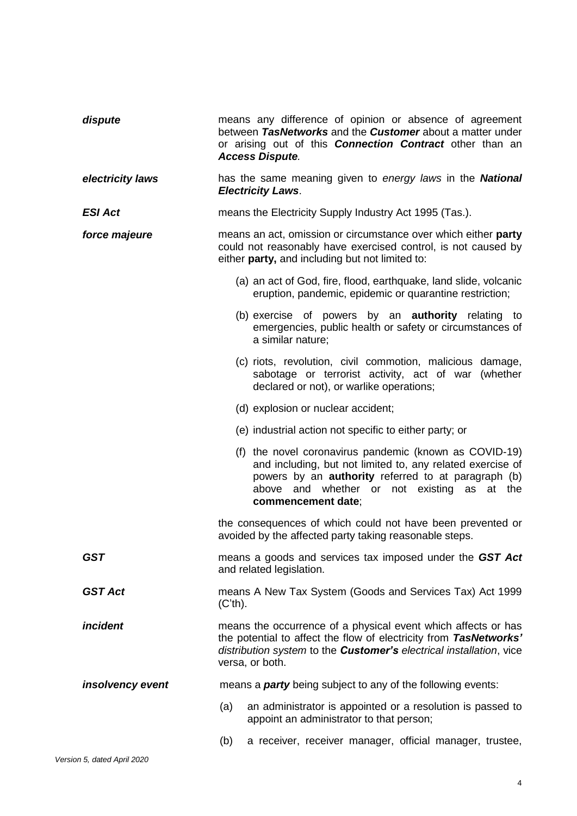| dispute          | means any difference of opinion or absence of agreement<br>between TasNetworks and the Customer about a matter under<br>or arising out of this <b>Connection Contract</b> other than an<br><b>Access Dispute.</b>                                       |  |  |  |
|------------------|---------------------------------------------------------------------------------------------------------------------------------------------------------------------------------------------------------------------------------------------------------|--|--|--|
| electricity laws | has the same meaning given to energy laws in the National<br><b>Electricity Laws.</b>                                                                                                                                                                   |  |  |  |
| <b>ESI Act</b>   | means the Electricity Supply Industry Act 1995 (Tas.).                                                                                                                                                                                                  |  |  |  |
| force majeure    | means an act, omission or circumstance over which either party<br>could not reasonably have exercised control, is not caused by<br>either party, and including but not limited to:                                                                      |  |  |  |
|                  | (a) an act of God, fire, flood, earthquake, land slide, volcanic<br>eruption, pandemic, epidemic or quarantine restriction;                                                                                                                             |  |  |  |
|                  | (b) exercise of powers by an <b>authority</b> relating to<br>emergencies, public health or safety or circumstances of<br>a similar nature;                                                                                                              |  |  |  |
|                  | (c) riots, revolution, civil commotion, malicious damage,<br>sabotage or terrorist activity, act of war (whether<br>declared or not), or warlike operations;                                                                                            |  |  |  |
|                  | (d) explosion or nuclear accident;                                                                                                                                                                                                                      |  |  |  |
|                  | (e) industrial action not specific to either party; or                                                                                                                                                                                                  |  |  |  |
|                  | (f) the novel coronavirus pandemic (known as COVID-19)<br>and including, but not limited to, any related exercise of<br>powers by an <b>authority</b> referred to at paragraph (b)<br>above and whether or not existing as at the<br>commencement date; |  |  |  |
|                  | the consequences of which could not have been prevented or<br>avoided by the affected party taking reasonable steps.                                                                                                                                    |  |  |  |
| <b>GST</b>       | means a goods and services tax imposed under the GST Act<br>and related legislation.                                                                                                                                                                    |  |  |  |
| <b>GST Act</b>   | means A New Tax System (Goods and Services Tax) Act 1999<br>$(C'th)$ .                                                                                                                                                                                  |  |  |  |
| incident         | means the occurrence of a physical event which affects or has<br>the potential to affect the flow of electricity from TasNetworks'<br>distribution system to the <b>Customer's</b> electrical installation, vice<br>versa, or both.                     |  |  |  |
| insolvency event | means a <b>party</b> being subject to any of the following events:                                                                                                                                                                                      |  |  |  |
|                  | (a)<br>an administrator is appointed or a resolution is passed to<br>appoint an administrator to that person;                                                                                                                                           |  |  |  |
|                  | a receiver, receiver manager, official manager, trustee,<br>(b)                                                                                                                                                                                         |  |  |  |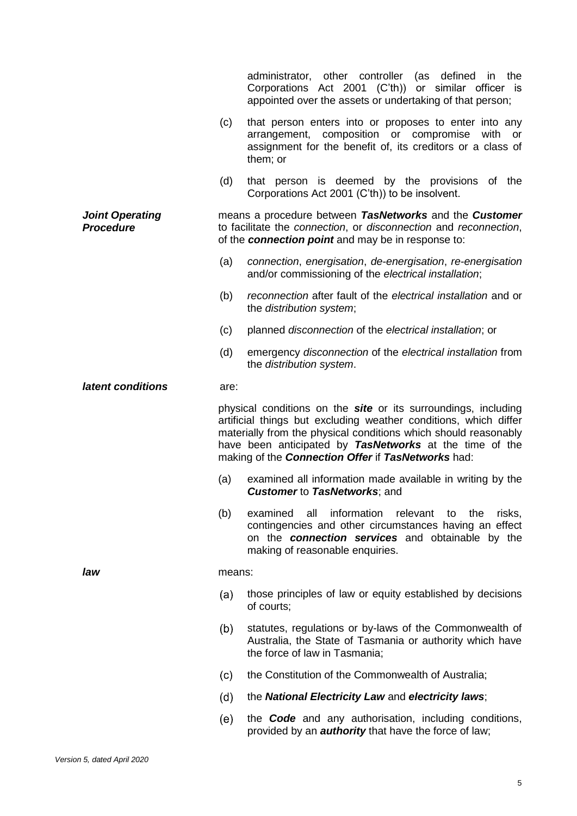|                                            |        | administrator, other controller<br>(as defined<br>the<br>in<br>Corporations Act 2001 (C'th)) or similar officer is<br>appointed over the assets or undertaking of that person;                                                                                                                                                       |
|--------------------------------------------|--------|--------------------------------------------------------------------------------------------------------------------------------------------------------------------------------------------------------------------------------------------------------------------------------------------------------------------------------------|
|                                            | (c)    | that person enters into or proposes to enter into any<br>arrangement, composition or compromise<br>with<br>or<br>assignment for the benefit of, its creditors or a class of<br>them; or                                                                                                                                              |
|                                            | (d)    | that person is deemed by the provisions of the<br>Corporations Act 2001 (C'th)) to be insolvent.                                                                                                                                                                                                                                     |
| <b>Joint Operating</b><br><b>Procedure</b> |        | means a procedure between TasNetworks and the Customer<br>to facilitate the connection, or disconnection and reconnection,<br>of the connection point and may be in response to:                                                                                                                                                     |
|                                            | (a)    | connection, energisation, de-energisation, re-energisation<br>and/or commissioning of the electrical installation;                                                                                                                                                                                                                   |
|                                            | (b)    | reconnection after fault of the electrical installation and or<br>the distribution system;                                                                                                                                                                                                                                           |
|                                            | (c)    | planned disconnection of the electrical installation; or                                                                                                                                                                                                                                                                             |
|                                            | (d)    | emergency disconnection of the electrical installation from<br>the distribution system.                                                                                                                                                                                                                                              |
| latent conditions                          | are:   |                                                                                                                                                                                                                                                                                                                                      |
|                                            |        | physical conditions on the <b>site</b> or its surroundings, including<br>artificial things but excluding weather conditions, which differ<br>materially from the physical conditions which should reasonably<br>have been anticipated by TasNetworks at the time of the<br>making of the <b>Connection Offer if TasNetworks</b> had: |
|                                            |        |                                                                                                                                                                                                                                                                                                                                      |
|                                            | (a)    | examined all information made available in writing by the<br><b>Customer to TasNetworks; and</b>                                                                                                                                                                                                                                     |
|                                            | (b)    | examined all<br>information relevant to the<br>risks,<br>contingencies and other circumstances having an effect<br>on the <b>connection services</b> and obtainable by the<br>making of reasonable enquiries.                                                                                                                        |
| law                                        | means: |                                                                                                                                                                                                                                                                                                                                      |
|                                            | (a)    | those principles of law or equity established by decisions<br>of courts;                                                                                                                                                                                                                                                             |
|                                            | (b)    | statutes, regulations or by-laws of the Commonwealth of<br>Australia, the State of Tasmania or authority which have<br>the force of law in Tasmania;                                                                                                                                                                                 |
|                                            | (c)    | the Constitution of the Commonwealth of Australia;                                                                                                                                                                                                                                                                                   |
|                                            | (d)    | the <b>National Electricity Law</b> and electricity laws;                                                                                                                                                                                                                                                                            |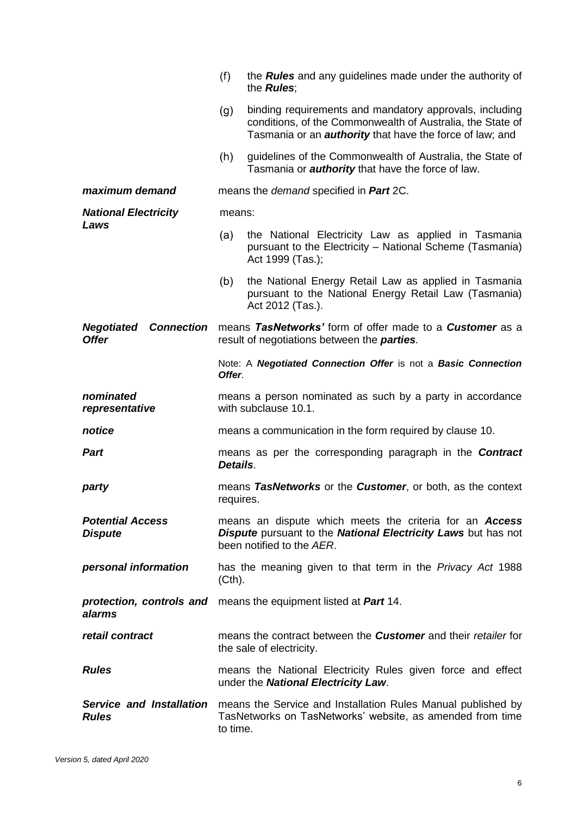|                                                        | (f)                                                                         | the <b>Rules</b> and any guidelines made under the authority of<br>the <b>Rules</b> ;                                                                                                    |  |  |  |
|--------------------------------------------------------|-----------------------------------------------------------------------------|------------------------------------------------------------------------------------------------------------------------------------------------------------------------------------------|--|--|--|
|                                                        | (g)                                                                         | binding requirements and mandatory approvals, including<br>conditions, of the Commonwealth of Australia, the State of<br>Tasmania or an <b>authority</b> that have the force of law; and |  |  |  |
|                                                        | (h)                                                                         | guidelines of the Commonwealth of Australia, the State of<br>Tasmania or <b>authority</b> that have the force of law.                                                                    |  |  |  |
| maximum demand                                         |                                                                             | means the <i>demand</i> specified in <b>Part</b> 2C.                                                                                                                                     |  |  |  |
| <b>National Electricity</b>                            | means:                                                                      |                                                                                                                                                                                          |  |  |  |
| Laws                                                   | (a)                                                                         | the National Electricity Law as applied in Tasmania<br>pursuant to the Electricity - National Scheme (Tasmania)<br>Act 1999 (Tas.);                                                      |  |  |  |
|                                                        | (b)                                                                         | the National Energy Retail Law as applied in Tasmania<br>pursuant to the National Energy Retail Law (Tasmania)<br>Act 2012 (Tas.).                                                       |  |  |  |
| <b>Negotiated</b><br><b>Connection</b><br><b>Offer</b> |                                                                             | means TasNetworks' form of offer made to a Customer as a<br>result of negotiations between the <i>parties</i> .                                                                          |  |  |  |
|                                                        | Offer.                                                                      | Note: A Negotiated Connection Offer is not a Basic Connection                                                                                                                            |  |  |  |
| nominated<br>representative                            |                                                                             | means a person nominated as such by a party in accordance<br>with subclause 10.1.                                                                                                        |  |  |  |
| notice                                                 |                                                                             | means a communication in the form required by clause 10.                                                                                                                                 |  |  |  |
| <b>Part</b>                                            | Details.                                                                    | means as per the corresponding paragraph in the <b>Contract</b>                                                                                                                          |  |  |  |
| party                                                  | means TasNetworks or the Customer, or both, as the context<br>requires.     |                                                                                                                                                                                          |  |  |  |
| <b>Potential Access</b><br><b>Dispute</b>              |                                                                             | means an dispute which meets the criteria for an <b>Access</b><br><b>Dispute</b> pursuant to the <b>National Electricity Laws</b> but has not<br>been notified to the AER.               |  |  |  |
| personal information                                   | has the meaning given to that term in the <i>Privacy Act</i> 1988<br>(Cth). |                                                                                                                                                                                          |  |  |  |
| protection, controls and<br>alarms                     | means the equipment listed at Part 14.                                      |                                                                                                                                                                                          |  |  |  |
| retail contract                                        |                                                                             | means the contract between the <b>Customer</b> and their retailer for<br>the sale of electricity.                                                                                        |  |  |  |
| <b>Rules</b>                                           |                                                                             | means the National Electricity Rules given force and effect<br>under the National Electricity Law.                                                                                       |  |  |  |
| <b>Rules</b>                                           | to time.                                                                    | <b>Service and Installation</b> means the Service and Installation Rules Manual published by<br>TasNetworks on TasNetworks' website, as amended from time                                |  |  |  |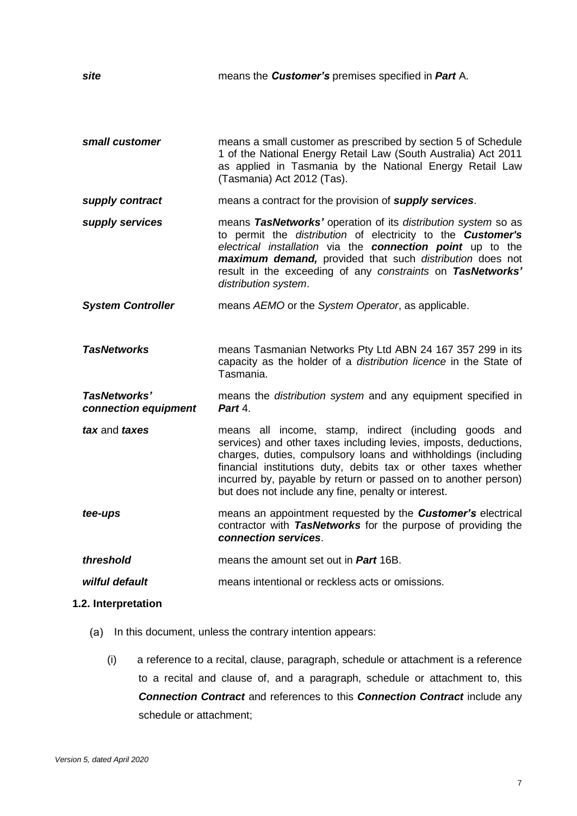| site                                 | means the <b>Customer's</b> premises specified in <b>Part</b> A.                                                                                                                                                                                                                                                                                                                       |
|--------------------------------------|----------------------------------------------------------------------------------------------------------------------------------------------------------------------------------------------------------------------------------------------------------------------------------------------------------------------------------------------------------------------------------------|
| small customer                       | means a small customer as prescribed by section 5 of Schedule<br>1 of the National Energy Retail Law (South Australia) Act 2011<br>as applied in Tasmania by the National Energy Retail Law<br>(Tasmania) Act 2012 (Tas).                                                                                                                                                              |
| supply contract                      | means a contract for the provision of supply services.                                                                                                                                                                                                                                                                                                                                 |
| supply services                      | means TasNetworks' operation of its distribution system so as<br>to permit the distribution of electricity to the <b>Customer's</b><br>electrical installation via the connection point up to the<br>maximum demand, provided that such distribution does not<br>result in the exceeding of any constraints on TasNetworks'<br>distribution system.                                    |
| <b>System Controller</b>             | means AEMO or the System Operator, as applicable.                                                                                                                                                                                                                                                                                                                                      |
| <b>TasNetworks</b>                   | means Tasmanian Networks Pty Ltd ABN 24 167 357 299 in its<br>capacity as the holder of a distribution licence in the State of<br>Tasmania.                                                                                                                                                                                                                                            |
| TasNetworks'<br>connection equipment | means the <i>distribution</i> system and any equipment specified in<br>Part 4.                                                                                                                                                                                                                                                                                                         |
| tax and taxes                        | means all income, stamp, indirect (including goods and<br>services) and other taxes including levies, imposts, deductions,<br>charges, duties, compulsory loans and withholdings (including<br>financial institutions duty, debits tax or other taxes whether<br>incurred by, payable by return or passed on to another person)<br>but does not include any fine, penalty or interest. |
| tee-ups                              | means an appointment requested by the <b>Customer's</b> electrical<br>contractor with TasNetworks for the purpose of providing the<br>connection services.                                                                                                                                                                                                                             |
| threshold                            | means the amount set out in <b>Part</b> 16B.                                                                                                                                                                                                                                                                                                                                           |
| wilful default                       | means intentional or reckless acts or omissions.                                                                                                                                                                                                                                                                                                                                       |
| 1.2. Interpretation                  |                                                                                                                                                                                                                                                                                                                                                                                        |

- (a) In this document, unless the contrary intention appears:
	- (i) a reference to a recital, clause, paragraph, schedule or attachment is a reference to a recital and clause of, and a paragraph, schedule or attachment to, this *Connection Contract* and references to this *Connection Contract* include any schedule or attachment;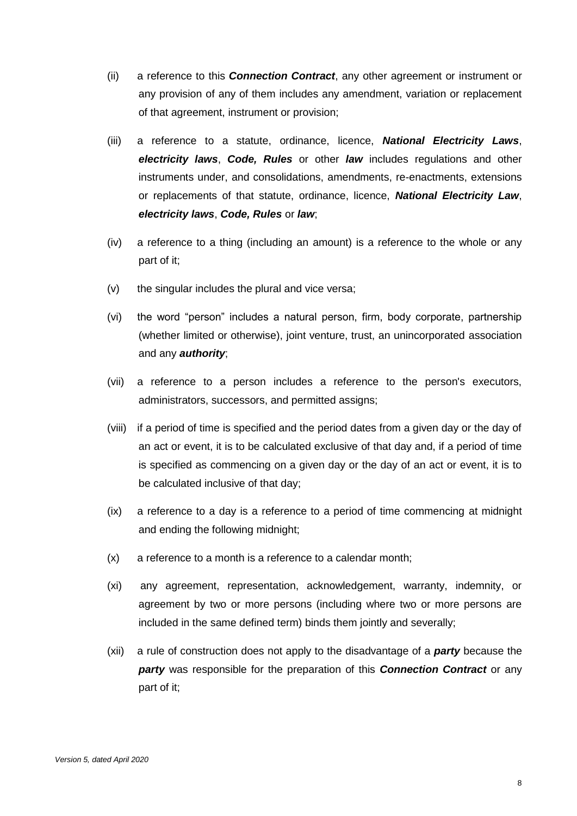- (ii) a reference to this *Connection Contract*, any other agreement or instrument or any provision of any of them includes any amendment, variation or replacement of that agreement, instrument or provision;
- (iii) a reference to a statute, ordinance, licence, *National Electricity Laws*, *electricity laws*, *Code, Rules* or other *law* includes regulations and other instruments under, and consolidations, amendments, re-enactments, extensions or replacements of that statute, ordinance, licence, *National Electricity Law*, *electricity laws*, *Code, Rules* or *law*;
- (iv) a reference to a thing (including an amount) is a reference to the whole or any part of it;
- (v) the singular includes the plural and vice versa;
- (vi) the word "person" includes a natural person, firm, body corporate, partnership (whether limited or otherwise), joint venture, trust, an unincorporated association and any *authority*;
- (vii) a reference to a person includes a reference to the person's executors, administrators, successors, and permitted assigns;
- (viii) if a period of time is specified and the period dates from a given day or the day of an act or event, it is to be calculated exclusive of that day and, if a period of time is specified as commencing on a given day or the day of an act or event, it is to be calculated inclusive of that day;
- (ix) a reference to a day is a reference to a period of time commencing at midnight and ending the following midnight;
- (x) a reference to a month is a reference to a calendar month;
- (xi) any agreement, representation, acknowledgement, warranty, indemnity, or agreement by two or more persons (including where two or more persons are included in the same defined term) binds them jointly and severally;
- (xii) a rule of construction does not apply to the disadvantage of a *party* because the *party* was responsible for the preparation of this *Connection Contract* or any part of it;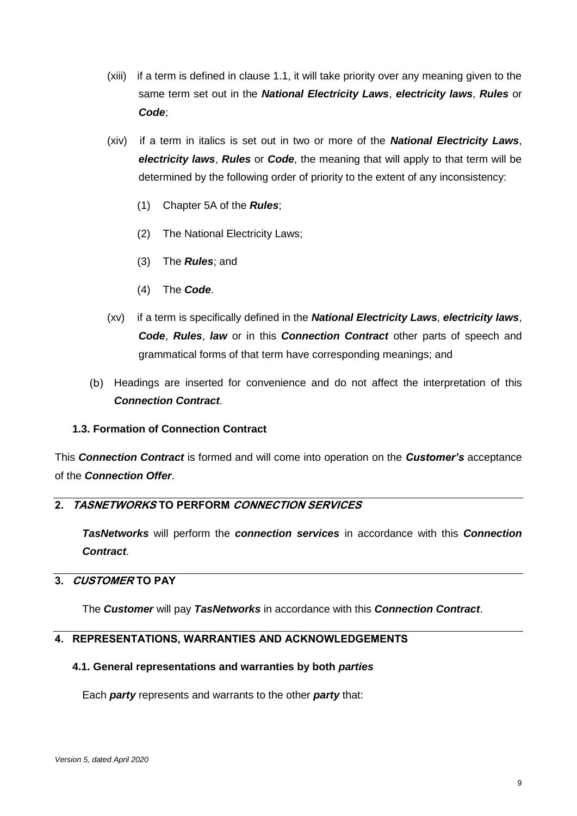- (xiii) if a term is defined in clause 1.1, it will take priority over any meaning given to the same term set out in the *National Electricity Laws*, *electricity laws*, *Rules* or *Code*;
- (xiv) if a term in italics is set out in two or more of the *National Electricity Laws*, *electricity laws*, *Rules* or *Code*, the meaning that will apply to that term will be determined by the following order of priority to the extent of any inconsistency:
	- (1) Chapter 5A of the *Rules*;
	- (2) The National Electricity Laws;
	- (3) The *Rules*; and
	- (4) The *Code*.
- (xv) if a term is specifically defined in the *National Electricity Laws*, *electricity laws*, *Code*, *Rules*, *law* or in this *Connection Contract* other parts of speech and grammatical forms of that term have corresponding meanings; and
- (b) Headings are inserted for convenience and do not affect the interpretation of this *Connection Contract*.

## **1.3. Formation of Connection Contract**

This *Connection Contract* is formed and will come into operation on the *Customer's* acceptance of the *Connection Offer*.

## **2. TASNETWORKS TO PERFORM CONNECTION SERVICES**

*TasNetworks* will perform the *connection services* in accordance with this *Connection Contract*.

# **3. CUSTOMER TO PAY**

The *Customer* will pay *TasNetworks* in accordance with this *Connection Contract*.

#### **4. REPRESENTATIONS, WARRANTIES AND ACKNOWLEDGEMENTS**

#### **4.1. General representations and warranties by both** *parties*

Each *party* represents and warrants to the other *party* that: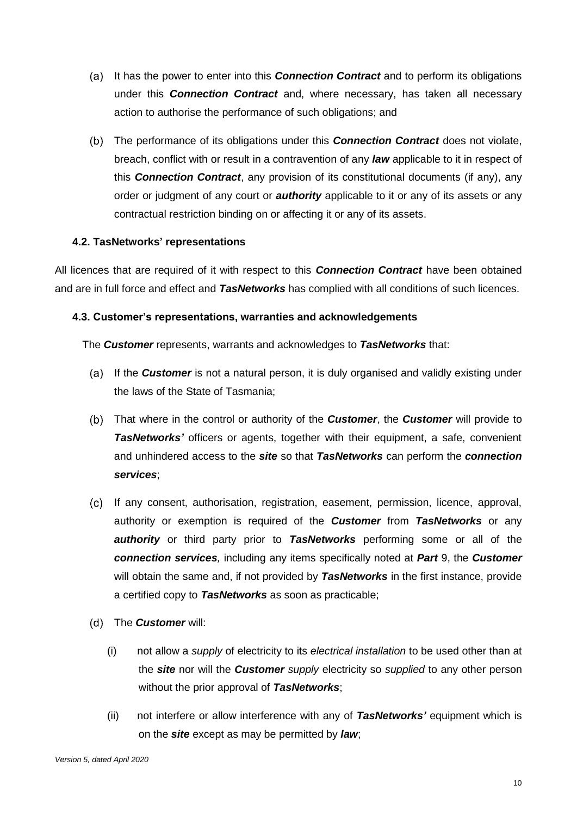- (a) It has the power to enter into this **Connection Contract** and to perform its obligations under this *Connection Contract* and, where necessary, has taken all necessary action to authorise the performance of such obligations; and
- The performance of its obligations under this *Connection Contract* does not violate, breach, conflict with or result in a contravention of any *law* applicable to it in respect of this *Connection Contract*, any provision of its constitutional documents (if any), any order or judgment of any court or *authority* applicable to it or any of its assets or any contractual restriction binding on or affecting it or any of its assets.

## **4.2. TasNetworks' representations**

All licences that are required of it with respect to this *Connection Contract* have been obtained and are in full force and effect and *TasNetworks* has complied with all conditions of such licences.

## <span id="page-13-0"></span>**4.3. Customer's representations, warranties and acknowledgements**

The *Customer* represents, warrants and acknowledges to *TasNetworks* that:

- (a) If the **Customer** is not a natural person, it is duly organised and validly existing under the laws of the State of Tasmania;
- That where in the control or authority of the *Customer*, the *Customer* will provide to *TasNetworks'* officers or agents, together with their equipment, a safe, convenient and unhindered access to the *site* so that *TasNetworks* can perform the *connection services*;
- <span id="page-13-2"></span>(c) If any consent, authorisation, registration, easement, permission, licence, approval, authority or exemption is required of the *Customer* from *TasNetworks* or any *authority* or third party prior to *TasNetworks* performing some or all of the *connection services,* including any items specifically noted at *Part* 9, the *Customer* will obtain the same and, if not provided by *TasNetworks* in the first instance, provide a certified copy to *TasNetworks* as soon as practicable;
- <span id="page-13-1"></span>The *Customer* will:
	- (i) not allow a *supply* of electricity to its *electrical installation* to be used other than at the *site* nor will the *Customer supply* electricity so *supplied* to any other person without the prior approval of *TasNetworks*;
	- (ii) not interfere or allow interference with any of *TasNetworks'* equipment which is on the *site* except as may be permitted by *law*;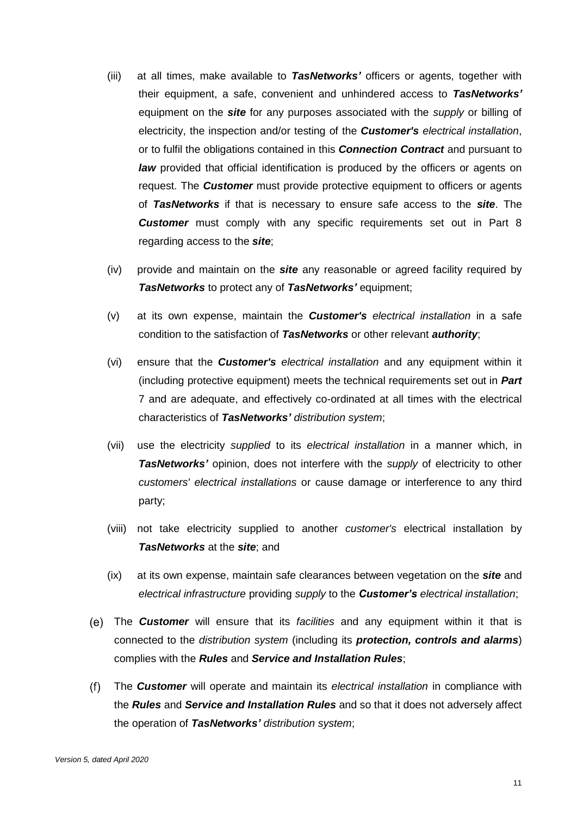- (iii) at all times, make available to *TasNetworks'* officers or agents, together with their equipment, a safe, convenient and unhindered access to *TasNetworks'* equipment on the *site* for any purposes associated with the *supply* or billing of electricity, the inspection and/or testing of the *Customer's electrical installation*, or to fulfil the obligations contained in this *Connection Contract* and pursuant to *law* provided that official identification is produced by the officers or agents on request. The *Customer* must provide protective equipment to officers or agents of *TasNetworks* if that is necessary to ensure safe access to the *site*. The *Customer* must comply with any specific requirements set out in Part 8 regarding access to the *site*;
- (iv) provide and maintain on the *site* any reasonable or agreed facility required by *TasNetworks* to protect any of *TasNetworks'* equipment;
- (v) at its own expense, maintain the *Customer's electrical installation* in a safe condition to the satisfaction of *TasNetworks* or other relevant *authority*;
- (vi) ensure that the *Customer's electrical installation* and any equipment within it (including protective equipment) meets the technical requirements set out in *Part* 7 and are adequate, and effectively co-ordinated at all times with the electrical characteristics of *TasNetworks' distribution system*;
- (vii) use the electricity *supplied* to its *electrical installation* in a manner which, in *TasNetworks'* opinion, does not interfere with the *supply* of electricity to other *customers' electrical installations* or cause damage or interference to any third party;
- (viii) not take electricity supplied to another *customer's* electrical installation by *TasNetworks* at the *site*; and
- (ix) at its own expense, maintain safe clearances between vegetation on the *site* and *electrical infrastructure* providing *supply* to the *Customer's electrical installation*;
- The *Customer* will ensure that its *facilities* and any equipment within it that is connected to the *distribution system* (including its *protection, controls and alarms*) complies with the *Rules* and *Service and Installation Rules*;
- $(f)$ The *Customer* will operate and maintain its *electrical installation* in compliance with the *Rules* and *Service and Installation Rules* and so that it does not adversely affect the operation of *TasNetworks' distribution system*;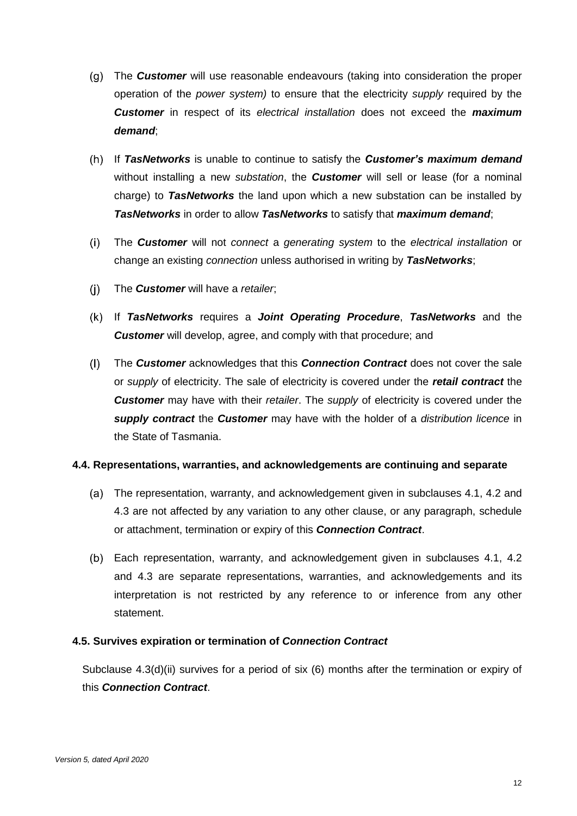- The *Customer* will use reasonable endeavours (taking into consideration the proper operation of the *power system)* to ensure that the electricity *supply* required by the *Customer* in respect of its *electrical installation* does not exceed the *maximum demand*;
- If *TasNetworks* is unable to continue to satisfy the *Customer's maximum demand* without installing a new *substation*, the *Customer* will sell or lease (for a nominal charge) to *TasNetworks* the land upon which a new substation can be installed by *TasNetworks* in order to allow *TasNetworks* to satisfy that *maximum demand*;
- $(i)$ The *Customer* will not *connect* a *generating system* to the *electrical installation* or change an existing *connection* unless authorised in writing by *TasNetworks*;
- $(i)$ The *Customer* will have a *retailer*;
- If *TasNetworks* requires a *Joint Operating Procedure*, *TasNetworks* and the *Customer* will develop, agree, and comply with that procedure; and
- $(1)$ The *Customer* acknowledges that this *Connection Contract* does not cover the sale or *supply* of electricity. The sale of electricity is covered under the *retail contract* the *Customer* may have with their *retailer*. The *supply* of electricity is covered under the *supply contract* the *Customer* may have with the holder of a *distribution licence* in the State of Tasmania.

## **4.4. Representations, warranties, and acknowledgements are continuing and separate**

- (a) The representation, warranty, and acknowledgement given in subclauses 4.1, 4.2 and [4.3](#page-13-0) are not affected by any variation to any other clause, or any paragraph, schedule or attachment, termination or expiry of this *Connection Contract*.
- Each representation, warranty, and acknowledgement given in subclauses 4.1, 4.2 and [4.3](#page-13-0) are separate representations, warranties, and acknowledgements and its interpretation is not restricted by any reference to or inference from any other statement.

## **4.5. Survives expiration or termination of** *Connection Contract*

Subclause [4.3\(d\)\(ii\)](#page-13-1) survives for a period of six (6) months after the termination or expiry of this *Connection Contract*.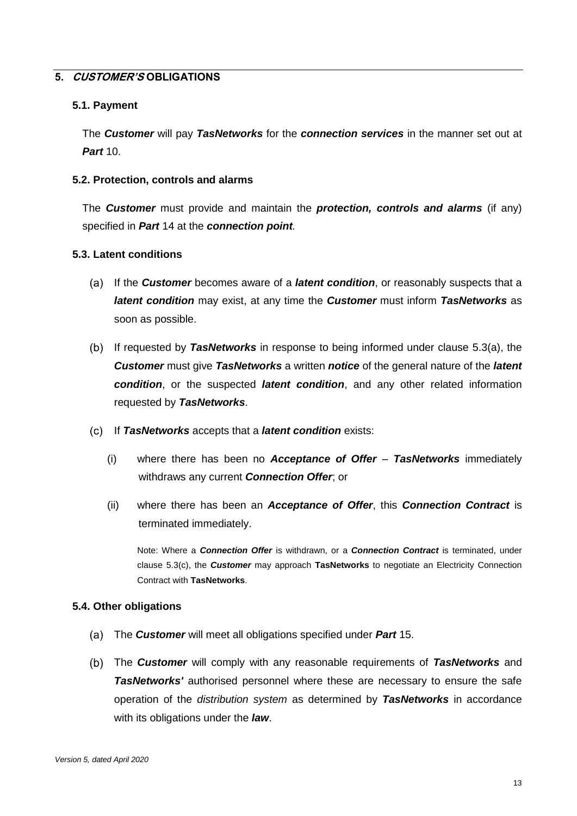## **5. CUSTOMER'S OBLIGATIONS**

#### **5.1. Payment**

The *Customer* will pay *TasNetworks* for the *connection services* in the manner set out at *Part* 10.

#### **5.2. Protection, controls and alarms**

The *Customer* must provide and maintain the *protection, controls and alarms* (if any) specified in *Part* 14 at the *connection point.*

#### <span id="page-16-2"></span><span id="page-16-0"></span>**5.3. Latent conditions**

- If the *Customer* becomes aware of a *latent condition*, or reasonably suspects that a *latent condition* may exist, at any time the *Customer* must inform *TasNetworks* as soon as possible.
- If requested by *TasNetworks* in response to being informed under clause [5.3\(a\),](#page-16-0) the *Customer* must give *TasNetworks* a written *notice* of the general nature of the *latent condition*, or the suspected *latent condition*, and any other related information requested by *TasNetworks*.
- <span id="page-16-1"></span>If *TasNetworks* accepts that a *latent condition* exists:
	- (i) where there has been no *Acceptance of Offer TasNetworks* immediately withdraws any current *Connection Offer*; or
	- (ii) where there has been an *Acceptance of Offer*, this *Connection Contract* is terminated immediately.

Note: Where a *Connection Offer* is withdrawn, or a *Connection Contract* is terminated, under clause [5.3\(c\),](#page-16-1) the *Customer* may approach **TasNetworks** to negotiate an Electricity Connection Contract with **TasNetworks**.

#### **5.4. Other obligations**

- The *Customer* will meet all obligations specified under *Part* 15.
- The *Customer* will comply with any reasonable requirements of *TasNetworks* and *TasNetworks'* authorised personnel where these are necessary to ensure the safe operation of the *distribution system* as determined by *TasNetworks* in accordance with its obligations under the *law*.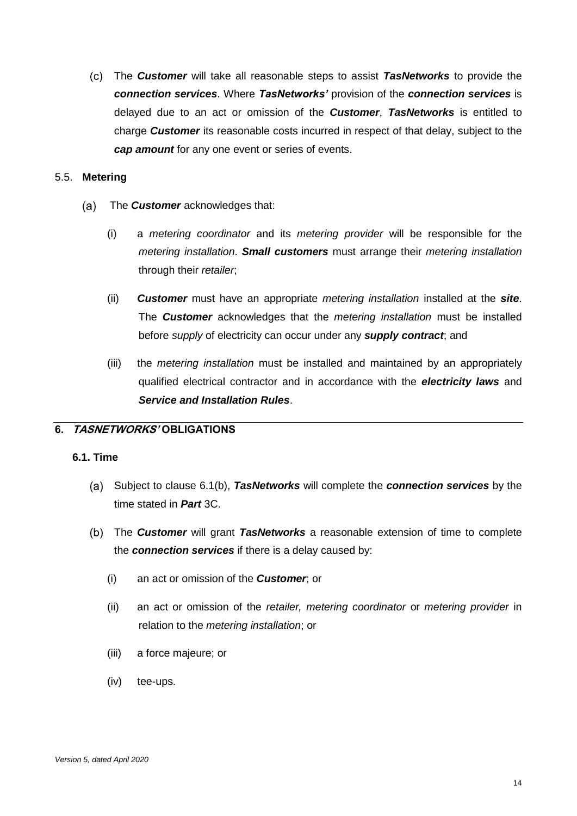<span id="page-17-1"></span>The *Customer* will take all reasonable steps to assist *TasNetworks* to provide the *connection services*. Where *TasNetworks'* provision of the *connection services* is delayed due to an act or omission of the *Customer*, *TasNetworks* is entitled to charge *Customer* its reasonable costs incurred in respect of that delay, subject to the *cap amount* for any one event or series of events.

#### 5.5. **Metering**

- $(a)$ The *Customer* acknowledges that:
	- (i) a *metering coordinator* and its *metering provider* will be responsible for the *metering installation*. *Small customers* must arrange their *metering installation* through their *retailer*;
	- (ii) *Customer* must have an appropriate *metering installation* installed at the *site*. The *Customer* acknowledges that the *metering installation* must be installed before *supply* of electricity can occur under any *supply contract*; and
	- (iii) the *metering installation* must be installed and maintained by an appropriately qualified electrical contractor and in accordance with the *electricity laws* and *Service and Installation Rules*.

# **6. TASNETWORKS' OBLIGATIONS**

## **6.1. Time**

- Subject to clause [6.1\(b\),](#page-17-0) *TasNetworks* will complete the *connection services* by the time stated in *Part* 3C.
- <span id="page-17-0"></span>The *Customer* will grant *TasNetworks* a reasonable extension of time to complete the *connection services* if there is a delay caused by:
	- (i) an act or omission of the *Customer*; or
	- (ii) an act or omission of the *retailer, metering coordinator* or *metering provider* in relation to the *metering installation*; or
	- (iii) a force majeure; or
	- (iv) tee-ups.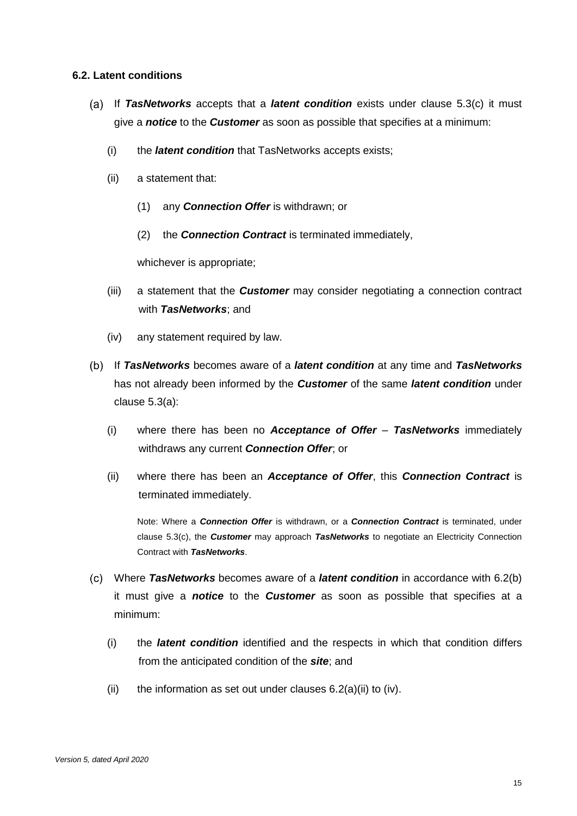#### <span id="page-18-1"></span>**6.2. Latent conditions**

- If *TasNetworks* accepts that a *latent condition* exists under clause [5.3\(c\)](#page-16-1) it must give a *notice* to the *Customer* as soon as possible that specifies at a minimum:
	- (i) the *latent condition* that TasNetworks accepts exists;
	- (ii) a statement that:
		- (1) any *Connection Offer* is withdrawn; or
		- (2) the *Connection Contract* is terminated immediately,

whichever is appropriate;

- (iii) a statement that the *Customer* may consider negotiating a connection contract with *TasNetworks*; and
- (iv) any statement required by law.
- <span id="page-18-0"></span>If *TasNetworks* becomes aware of a *latent condition* at any time and *TasNetworks* has not already been informed by the *Customer* of the same *latent condition* under clause 5.3(a):
	- (i) where there has been no *Acceptance of Offer TasNetworks* immediately withdraws any current *Connection Offer*; or
	- (ii) where there has been an *Acceptance of Offer*, this *Connection Contract* is terminated immediately.

Note: Where a *Connection Offer* is withdrawn, or a *Connection Contract* is terminated, under clause [5.3\(c\),](#page-16-1) the *Customer* may approach *TasNetworks* to negotiate an Electricity Connection Contract with *TasNetworks*.

- Where *TasNetworks* becomes aware of a *latent condition* in accordance with [6.2\(b\)](#page-18-0) it must give a *notice* to the *Customer* as soon as possible that specifies at a minimum:
	- (i) the *latent condition* identified and the respects in which that condition differs from the anticipated condition of the *site*; and
	- (ii) the information as set out under clauses  $6.2(a)(ii)$  to (iv).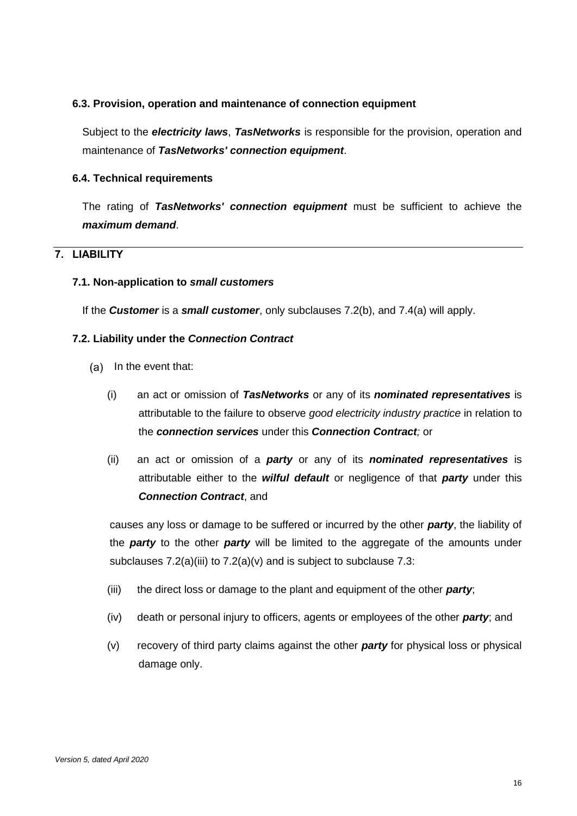#### **6.3. Provision, operation and maintenance of connection equipment**

Subject to the *electricity laws*, *TasNetworks* is responsible for the provision, operation and maintenance of *TasNetworks' connection equipment*.

#### **6.4. Technical requirements**

The rating of *TasNetworks' connection equipment* must be sufficient to achieve the *maximum demand*.

# <span id="page-19-2"></span>**7. LIABILITY**

#### **7.1. Non-application to** *small customers*

If the *Customer* is a *small customer*, only subclauses [7.2\(b\),](#page-20-0) and [7.4\(a\)](#page-20-1) will apply.

#### <span id="page-19-3"></span>**7.2. Liability under the** *Connection Contract*

- $(a)$  In the event that:
	- (i) an act or omission of *TasNetworks* or any of its *nominated representatives* is attributable to the failure to observe *good electricity industry practice* in relation to the *connection services* under this *Connection Contract;* or
	- (ii) an act or omission of a *party* or any of its *nominated representatives* is attributable either to the *wilful default* or negligence of that *party* under this *Connection Contract*, and

causes any loss or damage to be suffered or incurred by the other *party*, the liability of the *party* to the other *party* will be limited to the aggregate of the amounts under subclauses  $7.2(a)(iii)$  to  $7.2(a)(v)$  and is subject to subclause  $7.3$ :

- <span id="page-19-0"></span>(iii) the direct loss or damage to the plant and equipment of the other *party*;
- (iv) death or personal injury to officers, agents or employees of the other *party*; and
- <span id="page-19-1"></span>(v) recovery of third party claims against the other *party* for physical loss or physical damage only.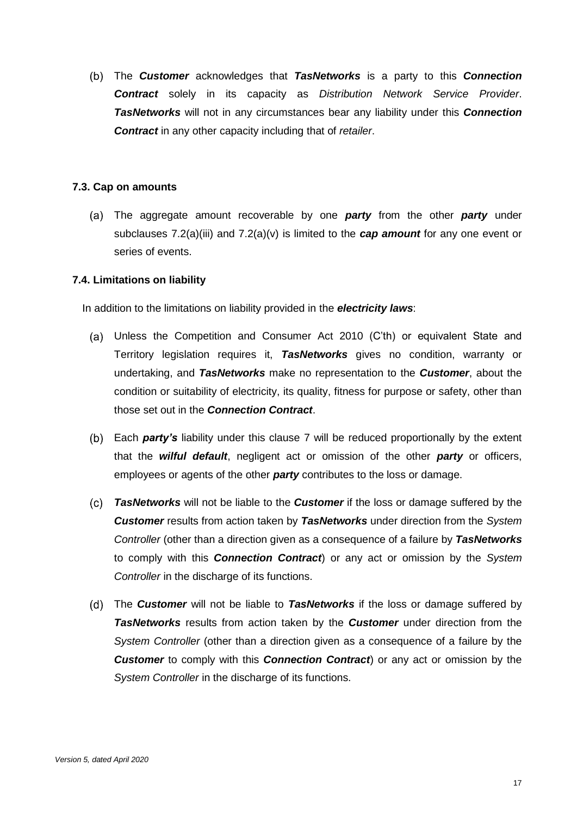<span id="page-20-0"></span>The *Customer* acknowledges that *TasNetworks* is a party to this *Connection Contract* solely in its capacity as *Distribution Network Service Provider*. *TasNetworks* will not in any circumstances bear any liability under this *Connection Contract* in any other capacity including that of *retailer*.

## <span id="page-20-2"></span>**7.3. Cap on amounts**

The aggregate amount recoverable by one *party* from the other *party* under subclauses [7.2\(a\)\(iii\)](#page-19-0) and [7.2\(a\)\(v\)](#page-19-1) is limited to the *cap amount* for any one event or series of events.

#### **7.4. Limitations on liability**

In addition to the limitations on liability provided in the *electricity laws*:

- <span id="page-20-1"></span>Unless the Competition and Consumer Act 2010 (C'th) or equivalent State and Territory legislation requires it, *TasNetworks* gives no condition, warranty or undertaking, and *TasNetworks* make no representation to the *Customer*, about the condition or suitability of electricity, its quality, fitness for purpose or safety, other than those set out in the *Connection Contract*.
- Each *party's* liability under this clause [7](#page-19-2) will be reduced proportionally by the extent that the *wilful default*, negligent act or omission of the other *party* or officers, employees or agents of the other *party* contributes to the loss or damage.
- *TasNetworks* will not be liable to the *Customer* if the loss or damage suffered by the *Customer* results from action taken by *TasNetworks* under direction from the *System Controller* (other than a direction given as a consequence of a failure by *TasNetworks* to comply with this *Connection Contract*) or any act or omission by the *System Controller* in the discharge of its functions.
- The *Customer* will not be liable to *TasNetworks* if the loss or damage suffered by *TasNetworks* results from action taken by the *Customer* under direction from the *System Controller* (other than a direction given as a consequence of a failure by the *Customer* to comply with this *Connection Contract*) or any act or omission by the *System Controller* in the discharge of its functions.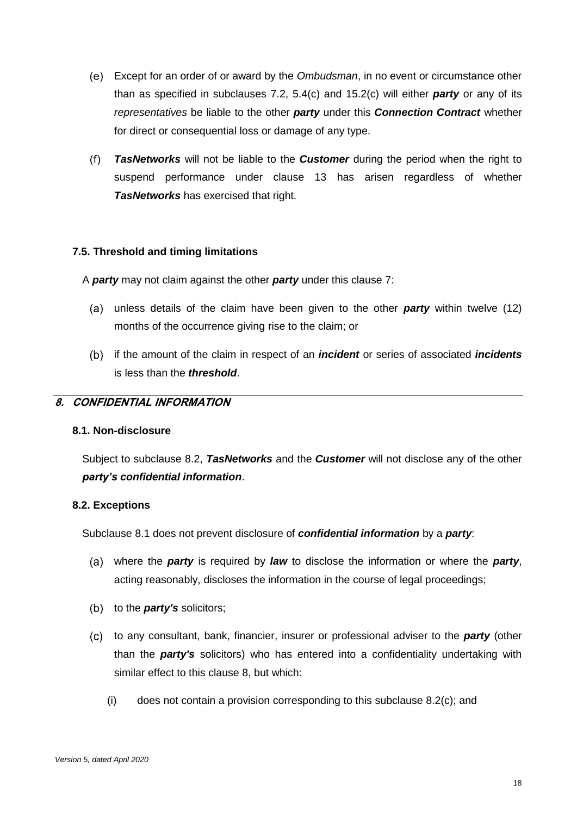- Except for an order of or award by the *Ombudsman*, in no event or circumstance other than as specified in subclauses [7.2,](#page-19-3) [5.4\(c\)](#page-17-1) and [15.2\(c\)](#page-29-0) will either *party* or any of its *representatives* be liable to the other *party* under this *Connection Contract* whether for direct or consequential loss or damage of any type.
- $(f)$ *TasNetworks* will not be liable to the *Customer* during the period when the right to suspend performance under clause [13](#page-25-0) has arisen regardless of whether *TasNetworks* has exercised that right.

## **7.5. Threshold and timing limitations**

A *party* may not claim against the other *party* under this clause [7:](#page-19-2)

- (a) unless details of the claim have been given to the other **party** within twelve (12) months of the occurrence giving rise to the claim; or
- if the amount of the claim in respect of an *incident* or series of associated *incidents*  is less than the *threshold*.

## <span id="page-21-2"></span>**8. CONFIDENTIAL INFORMATION**

#### <span id="page-21-1"></span>**8.1. Non-disclosure**

Subject to subclause [8.2,](#page-21-0) *TasNetworks* and the *Customer* will not disclose any of the other *party's confidential information*.

#### <span id="page-21-0"></span>**8.2. Exceptions**

Subclause [8.1](#page-21-1) does not prevent disclosure of *confidential information* by a *party*:

- where the *party* is required by *law* to disclose the information or where the *party*, acting reasonably, discloses the information in the course of legal proceedings;
- (b) to the *party's* solicitors;
- <span id="page-21-3"></span>to any consultant, bank, financier, insurer or professional adviser to the *party* (other than the *party's* solicitors) who has entered into a confidentiality undertaking with similar effect to this clause [8,](#page-21-2) but which:
	- (i) does not contain a provision corresponding to this subclause [8.2\(c\);](#page-21-3) and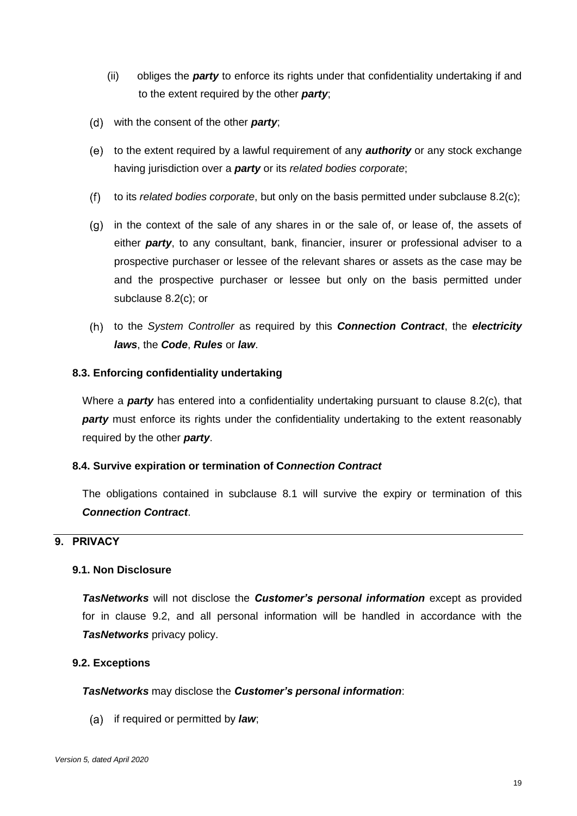- (ii) obliges the *party* to enforce its rights under that confidentiality undertaking if and to the extent required by the other *party*;
- with the consent of the other *party*;
- to the extent required by a lawful requirement of any *authority* or any stock exchange having jurisdiction over a *party* or its *related bodies corporate*;
- $(f)$ to its *related bodies corporate*, but only on the basis permitted under subclause [8.2\(c\);](#page-21-3)
- $(q)$  in the context of the sale of any shares in or the sale of, or lease of, the assets of either *party*, to any consultant, bank, financier, insurer or professional adviser to a prospective purchaser or lessee of the relevant shares or assets as the case may be and the prospective purchaser or lessee but only on the basis permitted under subclause [8.2\(c\);](#page-21-3) or
- to the *System Controller* as required by this *Connection Contract*, the *electricity laws*, the *Code*, *Rules* or *law*.

## **8.3. Enforcing confidentiality undertaking**

Where a *party* has entered into a confidentiality undertaking pursuant to clause [8.2\(c\),](#page-21-3) that **party** must enforce its rights under the confidentiality undertaking to the extent reasonably required by the other *party*.

## **8.4. Survive expiration or termination of C***onnection Contract*

The obligations contained in subclause [8.1](#page-21-1) will survive the expiry or termination of this *Connection Contract*.

# <span id="page-22-1"></span>**9. PRIVACY**

## **9.1. Non Disclosure**

*TasNetworks* will not disclose the *Customer's personal information* except as provided for in clause [9.2,](#page-22-0) and all personal information will be handled in accordance with the *TasNetworks* privacy policy.

## <span id="page-22-0"></span>**9.2. Exceptions**

## *TasNetworks* may disclose the *Customer's personal information*:

(a) if required or permitted by **law**;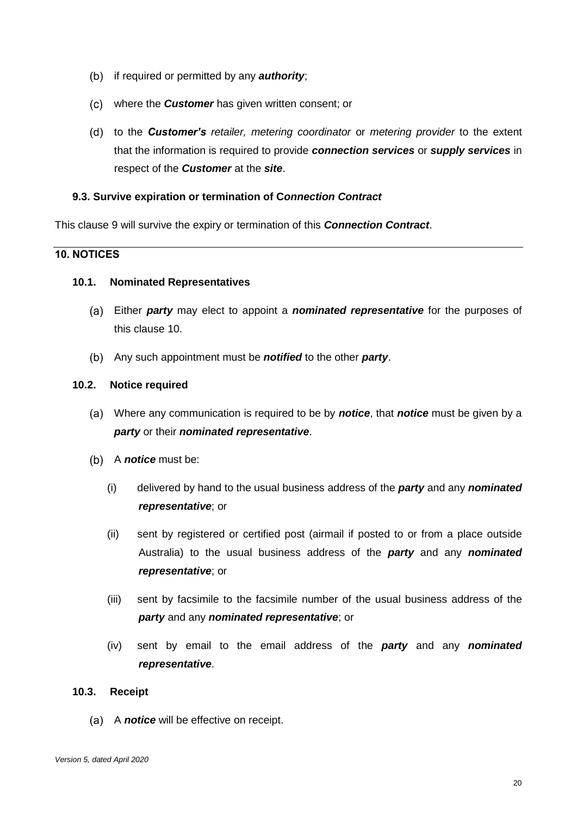- (b) if required or permitted by any **authority**;
- where the *Customer* has given written consent; or
- to the *Customer's retailer, metering coordinator* or *metering provider* to the extent that the information is required to provide *connection services* or *supply services* in respect of the *Customer* at the *site*.

## **9.3. Survive expiration or termination of C***onnection Contract*

This clause [9](#page-22-1) will survive the expiry or termination of this *Connection Contract*.

# <span id="page-23-1"></span>**10. NOTICES**

#### <span id="page-23-0"></span>**10.1. Nominated Representatives**

- Either *party* may elect to appoint a *nominated representative* for the purposes of this clause [10.](#page-23-1)
- Any such appointment must be *notified* to the other *party*.

#### **10.2. Notice required**

- Where any communication is required to be by *notice*, that *notice* must be given by a *party* or their *nominated representative*.
- (b) A *notice* must be:
	- (i) delivered by hand to the usual business address of the *party* and any *nominated representative*; or
	- (ii) sent by registered or certified post (airmail if posted to or from a place outside Australia) to the usual business address of the *party* and any *nominated representative*; or
	- (iii) sent by facsimile to the facsimile number of the usual business address of the *party* and any *nominated representative*; or
	- (iv) sent by email to the email address of the *party* and any *nominated representative*.

#### **10.3. Receipt**

(a) A **notice** will be effective on receipt.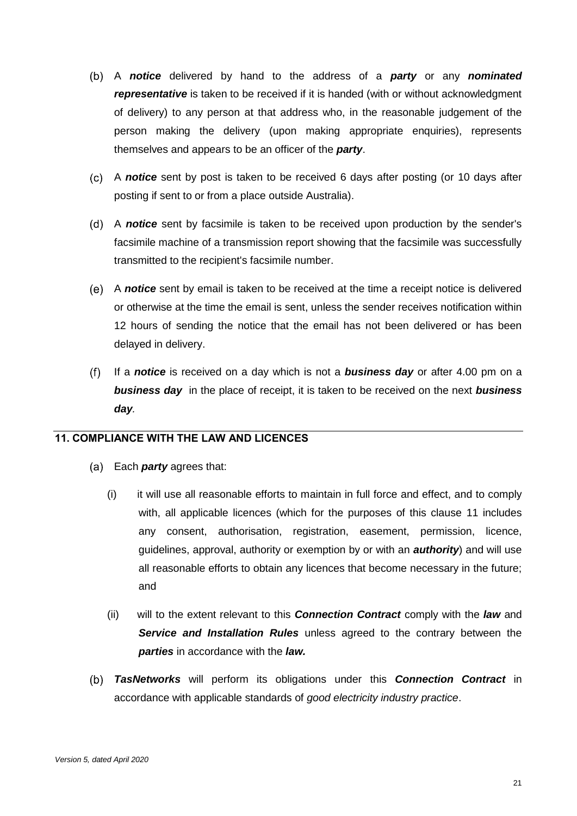- A *notice* delivered by hand to the address of a *party* or any *nominated representative* is taken to be received if it is handed (with or without acknowledgment of delivery) to any person at that address who, in the reasonable judgement of the person making the delivery (upon making appropriate enquiries), represents themselves and appears to be an officer of the *party*.
- A *notice* sent by post is taken to be received 6 days after posting (or 10 days after posting if sent to or from a place outside Australia).
- A *notice* sent by facsimile is taken to be received upon production by the sender's facsimile machine of a transmission report showing that the facsimile was successfully transmitted to the recipient's facsimile number.
- A *notice* sent by email is taken to be received at the time a receipt notice is delivered or otherwise at the time the email is sent, unless the sender receives notification within 12 hours of sending the notice that the email has not been delivered or has been delayed in delivery.
- $(f)$ If a *notice* is received on a day which is not a *business day* or after 4.00 pm on a *business day* in the place of receipt, it is taken to be received on the next *business day.*

## <span id="page-24-0"></span>**11. COMPLIANCE WITH THE LAW AND LICENCES**

- Each *party* agrees that:
	- (i) it will use all reasonable efforts to maintain in full force and effect, and to comply with, all applicable licences (which for the purposes of this clause [11](#page-24-0) includes any consent, authorisation, registration, easement, permission, licence, guidelines, approval, authority or exemption by or with an *authority*) and will use all reasonable efforts to obtain any licences that become necessary in the future; and
	- (ii) will to the extent relevant to this *Connection Contract* comply with the *law* and *Service and Installation Rules* unless agreed to the contrary between the *parties* in accordance with the *law.*
- *TasNetworks* will perform its obligations under this *Connection Contract* in accordance with applicable standards of *good electricity industry practice*.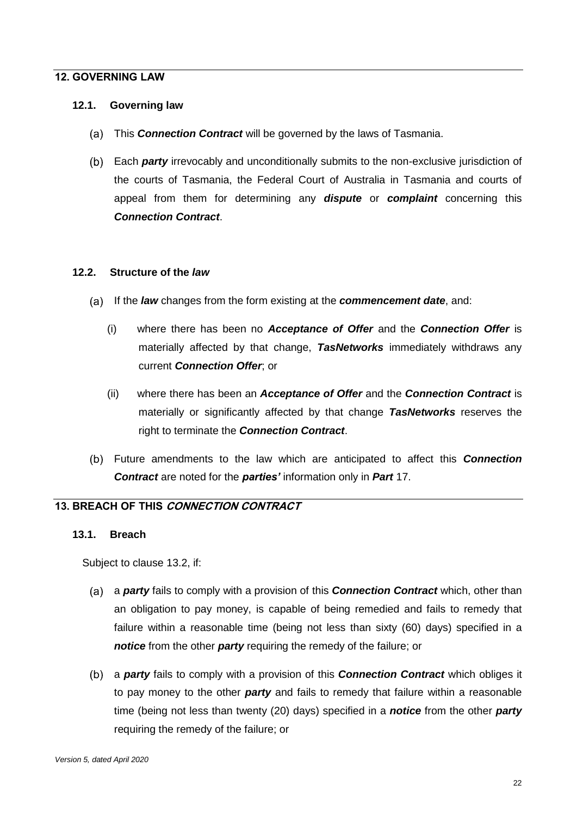#### **12. GOVERNING LAW**

#### **12.1. Governing law**

- This *Connection Contract* will be governed by the laws of Tasmania.
- Each *party* irrevocably and unconditionally submits to the non-exclusive jurisdiction of the courts of Tasmania, the Federal Court of Australia in Tasmania and courts of appeal from them for determining any *dispute* or *complaint* concerning this *Connection Contract*.

#### **12.2. Structure of the** *law*

- If the *law* changes from the form existing at the *commencement date*, and:
	- (i) where there has been no *Acceptance of Offer* and the *Connection Offer* is materially affected by that change, *TasNetworks* immediately withdraws any current *Connection Offer*; or
	- (ii) where there has been an *Acceptance of Offer* and the *Connection Contract* is materially or significantly affected by that change *TasNetworks* reserves the right to terminate the *Connection Contract*.
- Future amendments to the law which are anticipated to affect this *Connection Contract* are noted for the *parties'* information only in *Part* 17.

## <span id="page-25-0"></span>**13. BREACH OF THIS CONNECTION CONTRACT**

#### <span id="page-25-1"></span>**13.1. Breach**

Subject to clause [13.2,](#page-26-0) if:

- <span id="page-25-2"></span>a *party* fails to comply with a provision of this *Connection Contract* which, other than an obligation to pay money, is capable of being remedied and fails to remedy that failure within a reasonable time (being not less than sixty (60) days) specified in a *notice* from the other *party* requiring the remedy of the failure; or
- <span id="page-25-3"></span>a *party* fails to comply with a provision of this *Connection Contract* which obliges it to pay money to the other *party* and fails to remedy that failure within a reasonable time (being not less than twenty (20) days) specified in a *notice* from the other *party* requiring the remedy of the failure; or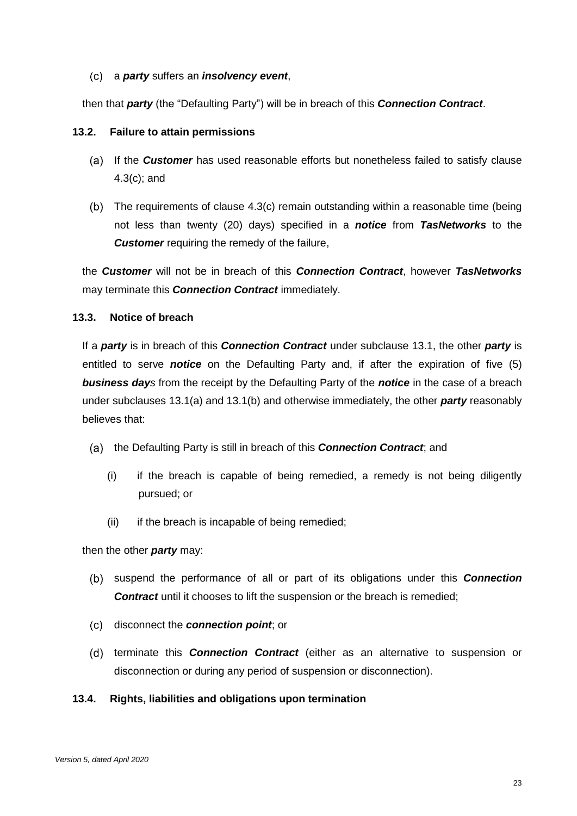#### a *party* suffers an *insolvency event*,

then that *party* (the "Defaulting Party") will be in breach of this *Connection Contract*.

#### <span id="page-26-0"></span>**13.2. Failure to attain permissions**

- If the *Customer* has used reasonable efforts but nonetheless failed to satisfy clause [4.3\(c\);](#page-13-2) and
- The requirements of clause [4.3\(c\)](#page-13-2) remain outstanding within a reasonable time (being not less than twenty (20) days) specified in a *notice* from *TasNetworks* to the *Customer* requiring the remedy of the failure,

the *Customer* will not be in breach of this *Connection Contract*, however *TasNetworks* may terminate this *Connection Contract* immediately.

#### **13.3. Notice of breach**

If a *party* is in breach of this *Connection Contract* under subclause [13.1,](#page-25-1) the other *party* is entitled to serve *notice* on the Defaulting Party and, if after the expiration of five (5) *business days* from the receipt by the Defaulting Party of the *notice* in the case of a breach under subclauses [13.1\(a\)](#page-25-2) and [13.1\(b\)](#page-25-3) and otherwise immediately, the other *party* reasonably believes that:

- (a) the Defaulting Party is still in breach of this **Connection Contract**; and
	- (i) if the breach is capable of being remedied, a remedy is not being diligently pursued; or
	- (ii) if the breach is incapable of being remedied;

then the other *party* may:

- suspend the performance of all or part of its obligations under this *Connection*  **Contract** until it chooses to lift the suspension or the breach is remedied;
- disconnect the *connection point*; or
- (d) terminate this **Connection Contract** (either as an alternative to suspension or disconnection or during any period of suspension or disconnection).

#### **13.4. Rights, liabilities and obligations upon termination**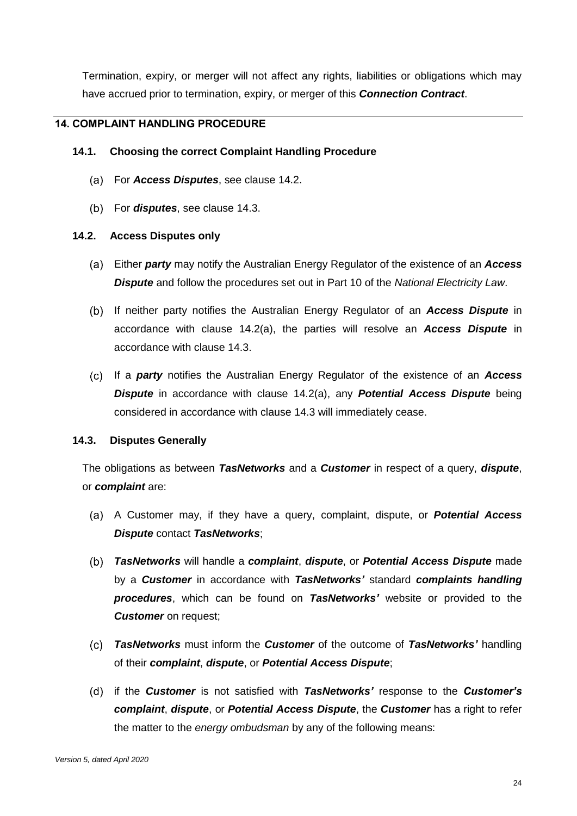Termination, expiry, or merger will not affect any rights, liabilities or obligations which may have accrued prior to termination, expiry, or merger of this *Connection Contract*.

# **14. COMPLAINT HANDLING PROCEDURE**

## **14.1. Choosing the correct Complaint Handling Procedure**

- For *Access Disputes*, see clause [14.2.](#page-27-0)
- For *disputes*, see clause [14.3.](#page-27-1)

## <span id="page-27-2"></span><span id="page-27-0"></span>**14.2. Access Disputes only**

- Either *party* may notify the Australian Energy Regulator of the existence of an *Access Dispute* and follow the procedures set out in Part 10 of the *National Electricity Law*.
- If neither party notifies the Australian Energy Regulator of an *Access Dispute* in accordance with clause [14.2\(a\),](#page-27-2) the parties will resolve an *Access Dispute* in accordance with clause [14.3.](#page-27-1)
- If a *party* notifies the Australian Energy Regulator of the existence of an *Access Dispute* in accordance with clause [14.2\(a\),](#page-27-2) any *Potential Access Dispute* being considered in accordance with clause [14.3](#page-27-1) will immediately cease.

## <span id="page-27-1"></span>**14.3. Disputes Generally**

The obligations as between *TasNetworks* and a *Customer* in respect of a query, *dispute*, or *complaint* are:

- A Customer may, if they have a query, complaint, dispute, or *Potential Access Dispute* contact *TasNetworks*;
- *TasNetworks* will handle a *complaint*, *dispute*, or *Potential Access Dispute* made by a *Customer* in accordance with *TasNetworks'* standard *complaints handling procedures*, which can be found on *TasNetworks'* website or provided to the *Customer* on request;
- *TasNetworks* must inform the *Customer* of the outcome of *TasNetworks'* handling of their *complaint*, *dispute*, or *Potential Access Dispute*;
- if the *Customer* is not satisfied with *TasNetworks'* response to the *Customer's complaint*, *dispute*, or *Potential Access Dispute*, the *Customer* has a right to refer the matter to the *energy ombudsman* by any of the following means: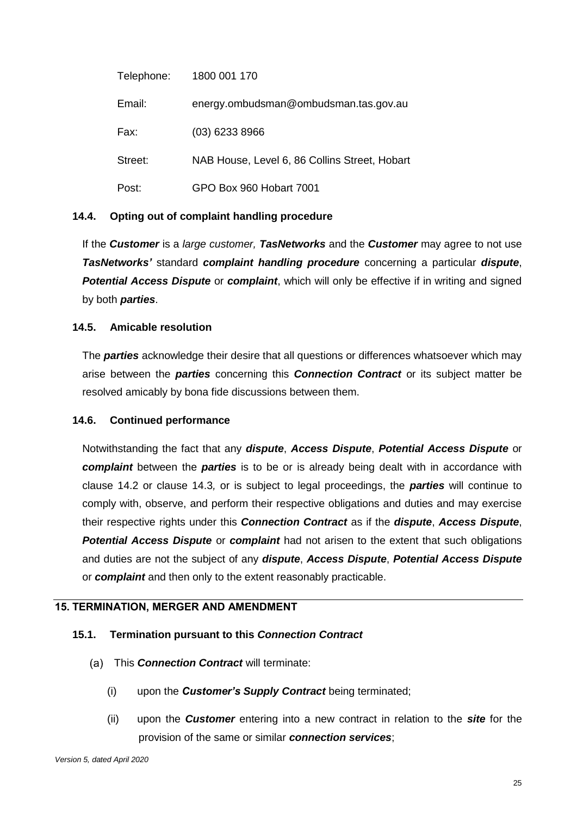| Telephone: | 1800 001 170                                  |
|------------|-----------------------------------------------|
| Email:     | energy.ombudsman@ombudsman.tas.gov.au         |
| Fax:       | $(03)$ 6233 8966                              |
| Street:    | NAB House, Level 6, 86 Collins Street, Hobart |
| Post:      | GPO Box 960 Hobart 7001                       |

## **14.4. Opting out of complaint handling procedure**

If the *Customer* is a *large customer, TasNetworks* and the *Customer* may agree to not use *TasNetworks'* standard *complaint handling procedure* concerning a particular *dispute*, *Potential Access Dispute* or *complaint*, which will only be effective if in writing and signed by both *parties*.

## **14.5. Amicable resolution**

The *parties* acknowledge their desire that all questions or differences whatsoever which may arise between the *parties* concerning this *Connection Contract* or its subject matter be resolved amicably by bona fide discussions between them.

## **14.6. Continued performance**

Notwithstanding the fact that any *dispute*, *Access Dispute*, *Potential Access Dispute* or *complaint* between the *parties* is to be or is already being dealt with in accordance with clause [14.2](#page-27-0) or clause [14.3](#page-27-1)*,* or is subject to legal proceedings, the *parties* will continue to comply with, observe, and perform their respective obligations and duties and may exercise their respective rights under this *Connection Contract* as if the *dispute*, *Access Dispute*, *Potential Access Dispute* or *complaint* had not arisen to the extent that such obligations and duties are not the subject of any *dispute*, *Access Dispute*, *Potential Access Dispute* or *complaint* and then only to the extent reasonably practicable.

## **15. TERMINATION, MERGER AND AMENDMENT**

## **15.1. Termination pursuant to this** *Connection Contract*

- This *Connection Contract* will terminate:
	- (i) upon the *Customer's Supply Contract* being terminated;
	- (ii) upon the *Customer* entering into a new contract in relation to the *site* for the provision of the same or similar *connection services*;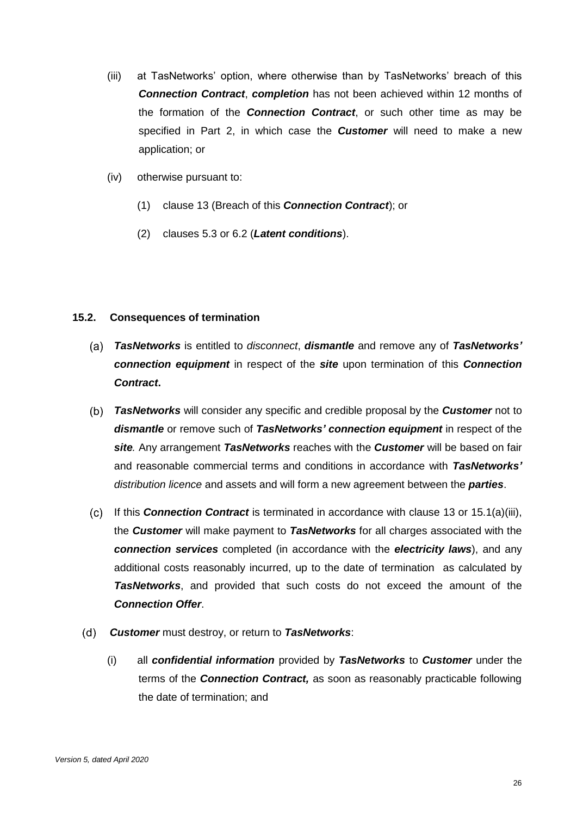- <span id="page-29-1"></span>(iii) at TasNetworks' option, where otherwise than by TasNetworks' breach of this *Connection Contract*, *completion* has not been achieved within 12 months of the formation of the *Connection Contract*, or such other time as may be specified in Part 2, in which case the *Customer* will need to make a new application; or
- (iv) otherwise pursuant to:
	- (1) clause [13](#page-25-0) (Breach of this *Connection Contract*); or
	- (2) clauses [5.3](#page-16-2) or [6.2](#page-18-1) (*Latent conditions*).

#### **15.2. Consequences of termination**

- *TasNetworks* is entitled to *disconnect*, *dismantle* and remove any of *TasNetworks' connection equipment* in respect of the *site* upon termination of this *Connection Contract***.**
- *TasNetworks* will consider any specific and credible proposal by the *Customer* not to *dismantle* or remove such of *TasNetworks' connection equipment* in respect of the *site.* Any arrangement *TasNetworks* reaches with the *Customer* will be based on fair and reasonable commercial terms and conditions in accordance with *TasNetworks' distribution licence* and assets and will form a new agreement between the *parties*.
- <span id="page-29-0"></span>If this *Connection Contract* is terminated in accordance with clause [13](#page-25-0) or [15.1\(a\)\(iii\),](#page-29-1) the *Customer* will make payment to *TasNetworks* for all charges associated with the *connection services* completed (in accordance with the *electricity laws*), and any additional costs reasonably incurred, up to the date of termination as calculated by *TasNetworks*, and provided that such costs do not exceed the amount of the *Connection Offer*.
- *Customer* must destroy, or return to *TasNetworks*:
	- (i) all *confidential information* provided by *TasNetworks* to *Customer* under the terms of the *Connection Contract,* as soon as reasonably practicable following the date of termination; and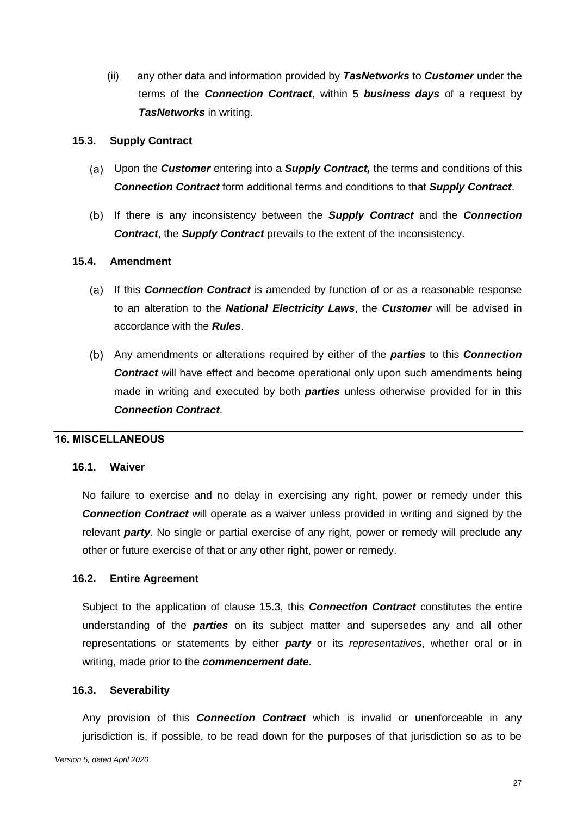(ii) any other data and information provided by *TasNetworks* to *Customer* under the terms of the *Connection Contract*, within 5 *business days* of a request by *TasNetworks* in writing.

#### <span id="page-30-0"></span>**15.3. Supply Contract**

- Upon the *Customer* entering into a *Supply Contract,* the terms and conditions of this *Connection Contract* form additional terms and conditions to that *Supply Contract*.
- If there is any inconsistency between the *Supply Contract* and the *Connection Contract*, the *Supply Contract* prevails to the extent of the inconsistency.

#### **15.4. Amendment**

- (a) If this **Connection Contract** is amended by function of or as a reasonable response to an alteration to the *National Electricity Laws*, the *Customer* will be advised in accordance with the *Rules*.
- Any amendments or alterations required by either of the *parties* to this *Connection Contract* will have effect and become operational only upon such amendments being made in writing and executed by both *parties* unless otherwise provided for in this *Connection Contract*.

#### **16. MISCELLANEOUS**

#### **16.1. Waiver**

No failure to exercise and no delay in exercising any right, power or remedy under this *Connection Contract* will operate as a waiver unless provided in writing and signed by the relevant *party*. No single or partial exercise of any right, power or remedy will preclude any other or future exercise of that or any other right, power or remedy.

#### **16.2. Entire Agreement**

Subject to the application of clause [15.3,](#page-30-0) this *Connection Contract* constitutes the entire understanding of the *parties* on its subject matter and supersedes any and all other representations or statements by either *party* or its *representatives*, whether oral or in writing, made prior to the *commencement date*.

#### **16.3. Severability**

Any provision of this *Connection Contract* which is invalid or unenforceable in any jurisdiction is, if possible, to be read down for the purposes of that jurisdiction so as to be